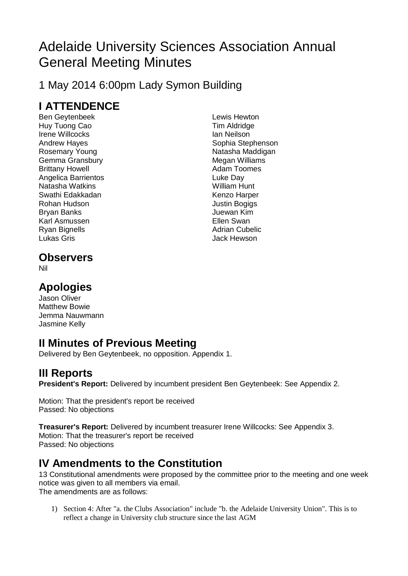# Adelaide University Sciences Association Annual General Meeting Minutes

1 May 2014 6:00pm Lady Symon Building

# **I ATTENDENCE**

Ben Geytenbeek Huy Tuong Cao Irene Willcocks Andrew Hayes Rosemary Young Gemma Gransbury Brittany Howell Angelica Barrientos Natasha Watkins Swathi Edakkadan Rohan Hudson Bryan Banks Karl Asmussen Ryan Bignells Lukas Gris

Lewis Hewton Tim Aldridge Ian Neilson Sophia Stephenson Natasha Maddigan Megan Williams Adam Toomes Luke Day William Hunt Kenzo Harper Justin Bogigs Juewan Kim Ellen Swan Adrian Cubelic Jack Hewson

# **Observers**

Nil

# **Apologies**

Jason Oliver Matthew Bowie Jemma Nauwmann Jasmine Kelly

# **II Minutes of Previous Meeting**

Delivered by Ben Geytenbeek, no opposition. Appendix 1.

# **III Reports**

**President's Report:** Delivered by incumbent president Ben Geytenbeek: See Appendix 2.

Motion: That the president's report be received Passed: No objections

**Treasurer's Report:** Delivered by incumbent treasurer Irene Willcocks: See Appendix 3. Motion: That the treasurer's report be received Passed: No objections

# **IV Amendments to the Constitution**

13 Constitutional amendments were proposed by the committee prior to the meeting and one week notice was given to all members via email. The amendments are as follows:

1) Section 4: After "a. the Clubs Association" include "b. the Adelaide University Union". This is to reflect a change in University club structure since the last AGM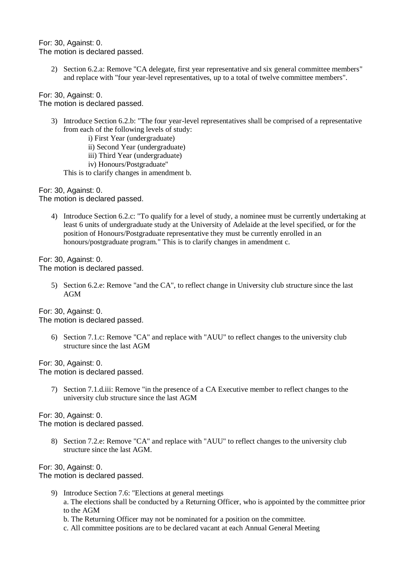For: 30, Against: 0. The motion is declared passed.

2) Section 6.2.a: Remove "CA delegate, first year representative and six general committee members" and replace with "four year-level representatives, up to a total of twelve committee members".

For: 30, Against: 0. The motion is declared passed.

- 3) Introduce Section 6.2.b: "The four year-level representatives shall be comprised of a representative from each of the following levels of study:
	- i) First Year (undergraduate)
	- ii) Second Year (undergraduate)
	- iii) Third Year (undergraduate)
	- iv) Honours/Postgraduate"

This is to clarify changes in amendment b.

For: 30, Against: 0.

The motion is declared passed.

4) Introduce Section 6.2.c: "To qualify for a level of study, a nominee must be currently undertaking at least 6 units of undergraduate study at the University of Adelaide at the level specified, or for the position of Honours/Postgraduate representative they must be currently enrolled in an honours/postgraduate program." This is to clarify changes in amendment c.

For: 30, Against: 0. The motion is declared passed.

> 5) Section 6.2.e: Remove "and the CA", to reflect change in University club structure since the last AGM

For: 30, Against: 0. The motion is declared passed.

> 6) Section 7.1.c: Remove "CA" and replace with "AUU" to reflect changes to the university club structure since the last AGM

For: 30, Against: 0.

The motion is declared passed.

7) Section 7.1.d.iii: Remove "in the presence of a CA Executive member to reflect changes to the university club structure since the last AGM

For: 30, Against: 0. The motion is declared passed.

> 8) Section 7.2.e: Remove "CA" and replace with "AUU" to reflect changes to the university club structure since the last AGM.

For: 30, Against: 0.

The motion is declared passed.

- 9) Introduce Section 7.6: "Elections at general meetings a. The elections shall be conducted by a Returning Officer, who is appointed by the committee prior to the AGM b. The Returning Officer may not be nominated for a position on the committee.
	- c. All committee positions are to be declared vacant at each Annual General Meeting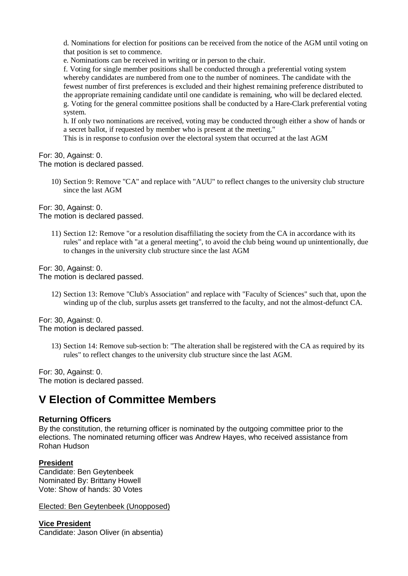d. Nominations for election for positions can be received from the notice of the AGM until voting on that position is set to commence.

e. Nominations can be received in writing or in person to the chair.

f. Voting for single member positions shall be conducted through a preferential voting system whereby candidates are numbered from one to the number of nominees. The candidate with the fewest number of first preferences is excluded and their highest remaining preference distributed to the appropriate remaining candidate until one candidate is remaining, who will be declared elected. g. Voting for the general committee positions shall be conducted by a Hare-Clark preferential voting system.

h. If only two nominations are received, voting may be conducted through either a show of hands or a secret ballot, if requested by member who is present at the meeting."

This is in response to confusion over the electoral system that occurred at the last AGM

For: 30, Against: 0.

The motion is declared passed.

10) Section 9: Remove "CA" and replace with "AUU" to reflect changes to the university club structure since the last AGM

For: 30, Against: 0. The motion is declared passed.

> 11) Section 12: Remove "or a resolution disaffiliating the society from the CA in accordance with its rules" and replace with "at a general meeting", to avoid the club being wound up unintentionally, due to changes in the university club structure since the last AGM

For: 30, Against: 0. The motion is declared passed.

> 12) Section 13: Remove "Club's Association" and replace with "Faculty of Sciences" such that, upon the winding up of the club, surplus assets get transferred to the faculty, and not the almost-defunct CA.

For: 30, Against: 0. The motion is declared passed.

> 13) Section 14: Remove sub-section b: "The alteration shall be registered with the CA as required by its rules" to reflect changes to the university club structure since the last AGM.

For: 30, Against: 0.

The motion is declared passed.

# **V Election of Committee Members**

## **Returning Officers**

By the constitution, the returning officer is nominated by the outgoing committee prior to the elections. The nominated returning officer was Andrew Hayes, who received assistance from Rohan Hudson

### **President**

Candidate: Ben Geytenbeek Nominated By: Brittany Howell Vote: Show of hands: 30 Votes

Elected: Ben Geytenbeek (Unopposed)

**Vice President** Candidate: Jason Oliver (in absentia)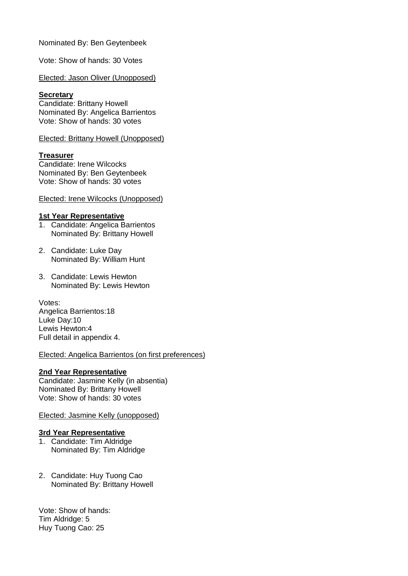Nominated By: Ben Geytenbeek

Vote: Show of hands: 30 Votes

Elected: Jason Oliver (Unopposed)

#### **Secretary**

Candidate: Brittany Howell Nominated By: Angelica Barrientos Vote: Show of hands: 30 votes

Elected: Brittany Howell (Unopposed)

### **Treasurer**

Candidate: Irene Wilcocks Nominated By: Ben Geytenbeek Vote: Show of hands: 30 votes

#### Elected: Irene Wilcocks (Unopposed)

#### **1st Year Representative**

- 1. Candidate: Angelica Barrientos Nominated By: Brittany Howell
- 2. Candidate: Luke Day Nominated By: William Hunt
- 3. Candidate: Lewis Hewton Nominated By: Lewis Hewton

Votes: Angelica Barrientos:18 Luke Day:10 Lewis Hewton:4 Full detail in appendix 4.

### Elected: Angelica Barrientos (on first preferences)

### **2nd Year Representative**

Candidate: Jasmine Kelly (in absentia) Nominated By: Brittany Howell Vote: Show of hands: 30 votes

### Elected: Jasmine Kelly (unopposed)

### **3rd Year Representative**

- 1. Candidate: Tim Aldridge Nominated By: Tim Aldridge
- 2. Candidate: Huy Tuong Cao Nominated By: Brittany Howell

Vote: Show of hands: Tim Aldridge: 5 Huy Tuong Cao: 25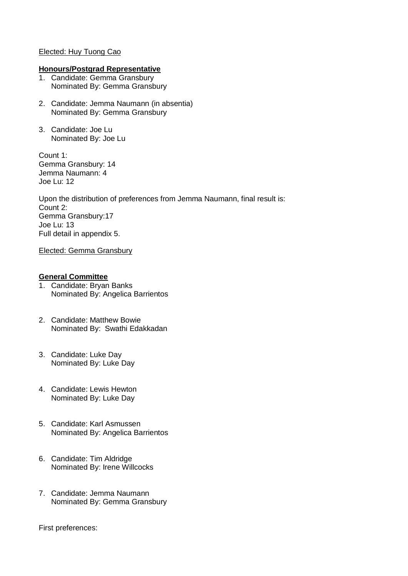### Elected: Huy Tuong Cao

#### **Honours/Postgrad Representative**

- 1. Candidate: Gemma Gransbury Nominated By: Gemma Gransbury
- 2. Candidate: Jemma Naumann (in absentia) Nominated By: Gemma Gransbury
- 3. Candidate: Joe Lu Nominated By: Joe Lu

Count 1: Gemma Gransbury: 14 Jemma Naumann: 4 Joe Lu: 12

Upon the distribution of preferences from Jemma Naumann, final result is: Count 2: Gemma Gransbury:17 Joe Lu: 13 Full detail in appendix 5.

Elected: Gemma Gransbury

## **General Committee**

- 1. Candidate: Bryan Banks Nominated By: Angelica Barrientos
- 2. Candidate: Matthew Bowie Nominated By: Swathi Edakkadan
- 3. Candidate: Luke Day Nominated By: Luke Day
- 4. Candidate: Lewis Hewton Nominated By: Luke Day
- 5. Candidate: Karl Asmussen Nominated By: Angelica Barrientos
- 6. Candidate: Tim Aldridge Nominated By: Irene Willcocks
- 7. Candidate: Jemma Naumann Nominated By: Gemma Gransbury

First preferences: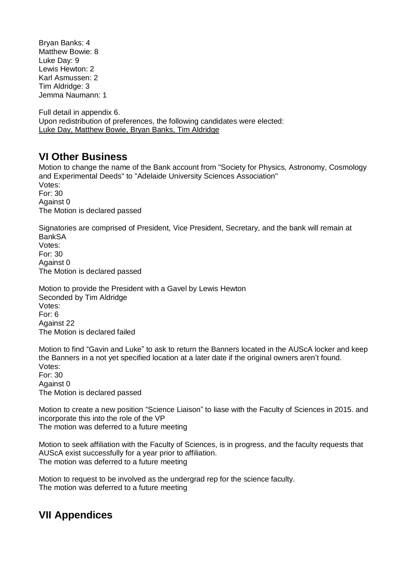Bryan Banks: 4 Matthew Bowie: 8 Luke Day: 9 Lewis Hewton: 2 Karl Asmussen: 2 Tim Aldridge: 3 Jemma Naumann: 1

Full detail in appendix 6. Upon redistribution of preferences, the following candidates were elected: Luke Day, Matthew Bowie, Bryan Banks, Tim Aldridge

# **VI Other Business**

Motion to change the name of the Bank account from "Society for Physics, Astronomy, Cosmology and Experimental Deeds" to "Adelaide University Sciences Association" Votes: For: 30 Against 0 The Motion is declared passed

Signatories are comprised of President, Vice President, Secretary, and the bank will remain at **BankSA** Votes: For: 30 Against 0 The Motion is declared passed

Motion to provide the President with a Gavel by Lewis Hewton Seconded by Tim Aldridge Votes: For: 6 Against 22 The Motion is declared failed

Motion to find "Gavin and Luke" to ask to return the Banners located in the AUScA locker and keep the Banners in a not yet specified location at a later date if the original owners aren't found. Votes: For: 30 Against 0

The Motion is declared passed

Motion to create a new position "Science Liaison" to liase with the Faculty of Sciences in 2015. and incorporate this into the role of the VP The motion was deferred to a future meeting

Motion to seek affiliation with the Faculty of Sciences, is in progress, and the faculty requests that AUScA exist successfully for a year prior to affiliation. The motion was deferred to a future meeting

Motion to request to be involved as the undergrad rep for the science faculty. The motion was deferred to a future meeting

# **VII Appendices**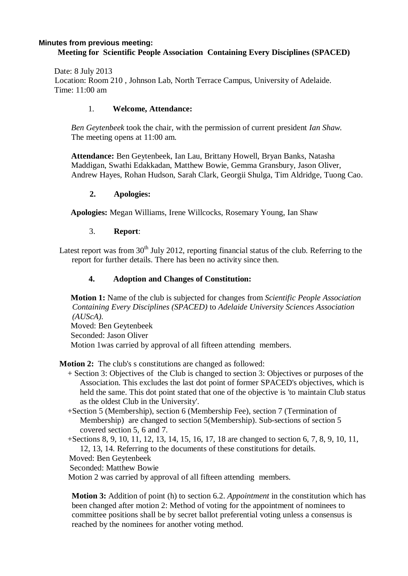#### **Minutes from previous meeting: Meeting for Scientific People Association Containing Every Disciplines (SPACED)**

Date: 8 July 2013 Location: Room 210 , Johnson Lab, North Terrace Campus, University of Adelaide. Time: 11:00 am

### 1. **Welcome, Attendance:**

*Ben Geytenbeek* took the chair, with the permission of current president *Ian Shaw*. The meeting opens at 11:00 am.

**Attendance:** Ben Geytenbeek, Ian Lau, Brittany Howell, Bryan Banks, Natasha Maddigan, Swathi Edakkadan, Matthew Bowie, Gemma Gransbury, Jason Oliver, Andrew Hayes, Rohan Hudson, Sarah Clark, Georgii Shulga, Tim Aldridge, Tuong Cao.

### **2. Apologies:**

**Apologies:** Megan Williams, Irene Willcocks, Rosemary Young, Ian Shaw

### 3. **Report**:

Latest report was from  $30<sup>th</sup>$  July 2012, reporting financial status of the club. Referring to the report for further details. There has been no activity since then.

## **4. Adoption and Changes of Constitution:**

**Motion 1:** Name of the club is subjected for changes from *Scientific People Association Containing Every Disciplines (SPACED)* to *Adelaide University Sciences Association (AUScA).*

Moved: Ben Geytenbeek Seconded: Jason Oliver Motion 1was carried by approval of all fifteen attending members.

**Motion 2:** The club's s constitutions are changed as followed:

- + Section 3: Objectives of the Club is changed to section 3: Objectives or purposes of the Association. This excludes the last dot point of former SPACED's objectives, which is held the same. This dot point stated that one of the objective is 'to maintain Club status as the oldest Club in the University'.
- +Section 5 (Membership), section 6 (Membership Fee), section 7 (Termination of Membership) are changed to section 5(Membership). Sub-sections of section 5 covered section 5, 6 and 7.

+Sections 8, 9, 10, 11, 12, 13, 14, 15, 16, 17, 18 are changed to section 6, 7, 8, 9, 10, 11, 12, 13, 14. Referring to the documents of these constitutions for details.

Moved: Ben Geytenbeek

Seconded: Matthew Bowie

Motion 2 was carried by approval of all fifteen attending members.

**Motion 3:** Addition of point (h) to section 6.2. *Appointment* in the constitution which has been changed after motion 2: Method of voting for the appointment of nominees to committee positions shall be by secret ballot preferential voting unless a consensus is reached by the nominees for another voting method.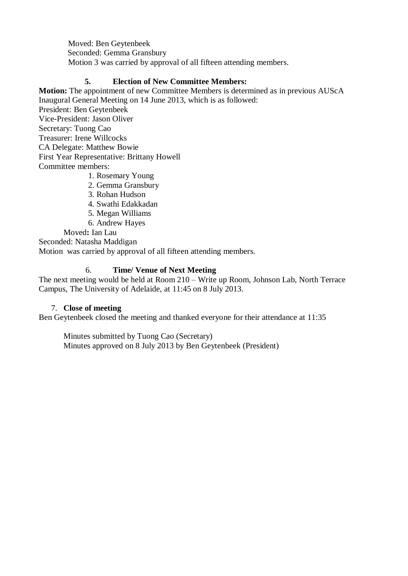Moved: Ben Geytenbeek Seconded: Gemma Gransbury Motion 3 was carried by approval of all fifteen attending members.

## **5. Election of New Committee Members:**

**Motion:** The appointment of new Committee Members is determined as in previous AUScA Inaugural General Meeting on 14 June 2013, which is as followed: President: Ben Geytenbeek Vice-President: Jason Oliver Secretary: Tuong Cao Treasurer: Irene Willcocks CA Delegate: Matthew Bowie First Year Representative: Brittany Howell Committee members:

- 1. Rosemary Young
- 2. Gemma Gransbury
- 3. Rohan Hudson
- 4. Swathi Edakkadan
- 5. Megan Williams
- 6. Andrew Hayes

Moved**:** Ian Lau

Seconded: Natasha Maddigan

Motion was carried by approval of all fifteen attending members.

## 6. **Time/ Venue of Next Meeting**

The next meeting would be held at Room 210 – Write up Room, Johnson Lab, North Terrace Campus, The University of Adelaide, at 11:45 on 8 July 2013.

## 7. **Close of meeting**

Ben Geytenbeek closed the meeting and thanked everyone for their attendance at 11:35

Minutes submitted by Tuong Cao (Secretary) Minutes approved on 8 July 2013 by Ben Geytenbeek (President)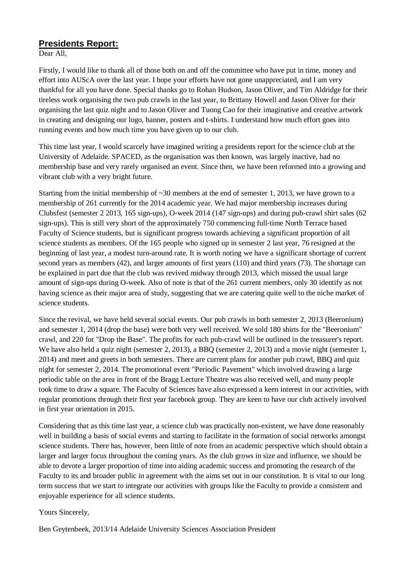# **Presidents Report:**

Dear All,

Firstly, I would like to thank all of those both on and off the committee who have put in time, money and effort into AUScA over the last year. I hope your efforts have not gone unappreciated, and I am very thankful for all you have done. Special thanks go to Rohan Hudson, Jason Oliver, and Tim Aldridge for their tireless work organising the two pub crawls in the last year, to Brittany Howell and Jason Oliver for their organising the last quiz night and to Jason Oliver and Tuong Cao for their imaginative and creative artwork in creating and designing our logo, banner, posters and t-shirts. I understand how much effort goes into running events and how much time you have given up to our club.

This time last year, I would scarcely have imagined writing a presidents report for the science club at the University of Adelaide. SPACED, as the organisation was then known, was largely inactive, had no membership base and very rarely organised an event. Since then, we have been reformed into a growing and vibrant club with a very bright future.

Starting from the initial membership of  $\sim$ 30 members at the end of semester 1, 2013, we have grown to a membership of 261 currently for the 2014 academic year. We had major membership increases during Clubsfest (semester 2 2013, 165 sign-ups), O-week 2014 (147 sign-ups) and during pub-crawl shirt sales (62 sign-ups). This is still very short of the approximately 750 commencing full-time North Terrace based Faculty of Science students, but is significant progress towards achieving a significant proportion of all science students as members. Of the 165 people who signed up in semester 2 last year, 76 resigned at the beginning of last year, a modest turn-around rate. It is worth noting we have a significant shortage of current second years as members (42), and larger amounts of first years (110) and third years (73). The shortage can be explained in part due that the club was revived midway through 2013, which missed the usual large amount of sign-ups during O-week. Also of note is that of the 261 current members, only 30 identify as not having science as their major area of study, suggesting that we are catering quite well to the niche market of science students.

Since the revival, we have held several social events. Our pub crawls in both semester 2, 2013 (Beeronium) and semester 1, 2014 (drop the base) were both very well received. We sold 180 shirts for the "Beeronium" crawl, and 220 for "Drop the Base". The profits for each pub-crawl will be outlined in the treasurer's report. We have also held a quiz night (semester 2, 2013), a BBO (semester 2, 2013) and a movie night (semester 1, 2014) and meet and greets in both semesters. There are current plans for another pub crawl, BBQ and quiz night for semester 2, 2014. The promotional event "Periodic Pavement" which involved drawing a large periodic table on the area in front of the Bragg Lecture Theatre was also received well, and many people took time to draw a square. The Faculty of Sciences have also expressed a keen interest in our activities, with regular promotions through their first year facebook group. They are keen to have our club actively involved in first year orientation in 2015.

Considering that as this time last year, a science club was practically non-existent, we have done reasonably well in building a basis of social events and starting to facilitate in the formation of social networks amongst science students. There has, however, been little of note from an academic perspective which should obtain a larger and larger focus throughout the coming years. As the club grows in size and influence, we should be able to devote a larger proportion of time into aiding academic success and promoting the research of the Faculty to its and broader public in agreement with the aims set out in our constitution. It is vital to our long term success that we start to integrate our activities with groups like the Faculty to provide a consistent and enjoyable experience for all science students.

## Yours Sincerely,

Ben Geytenbeek, 2013/14 Adelaide University Sciences Association President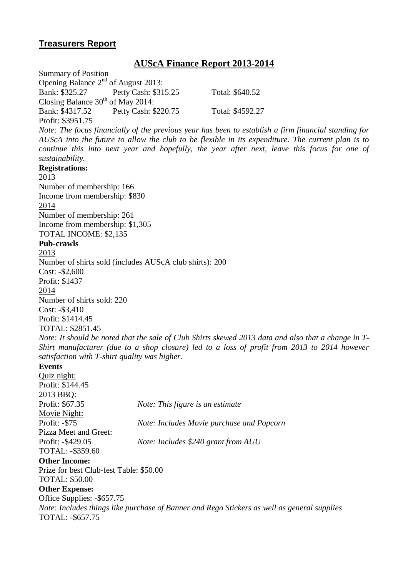# **Treasurers Report**

# **AUScA Finance Report 2013-2014**

Summary of Position Opening Balance  $2<sup>nd</sup>$  of August 2013: Bank: \$325.27 Petty Cash: \$315.25 Total: \$640.52 Closing Balance  $30<sup>th</sup>$  of May 2014: Bank: \$4317.52 Petty Cash: \$220.75 Total: \$4592.27 Profit: \$3951.75 *Note: The focus financially of the previous year has been to establish a firm financial standing for* AUScA into the future to allow the club to be flexible in its expenditure. The current plan is to *continue this into next year and hopefully, the year after next, leave this focus for one of sustainability.* **Registrations:** 2013 Number of membership: 166 Income from membership: \$830 2014 Number of membership: 261 Income from membership: \$1,305 TOTAL INCOME: \$2,135 **Pub-crawls** 2013 Number of shirts sold (includes AUScA club shirts): 200 Cost: -\$2,600 Profit: \$1437 2014 Number of shirts sold: 220 Cost: -\$3,410 Profit: \$1414.45 TOTAL: \$2851.45 Note: It should be noted that the sale of Club Shirts skewed 2013 data and also that a change in T-*Shirt manufacturer (due to a shop closure) led to a loss of profit from 2013 to 2014 however satisfaction with T-shirt quality was higher.* **Events** Quiz night: Profit: \$144.45 2013 BBQ: Profit: \$67.35 *Note: This figure is an estimate* Movie Night: Profit: -\$75 *Note: Includes Movie purchase and Popcorn* Pizza Meet and Greet: Profit: -\$429.05 *Note: Includes \$240 grant from AUU* TOTAL: -\$359.60 **Other Income:** Prize for best Club-fest Table: \$50.00 TOTAL: \$50.00 **Other Expense:** Office Supplies: -\$657.75 *Note: Includes things like purchase of Banner and Rego Stickers as well as general supplies* TOTAL: -\$657.75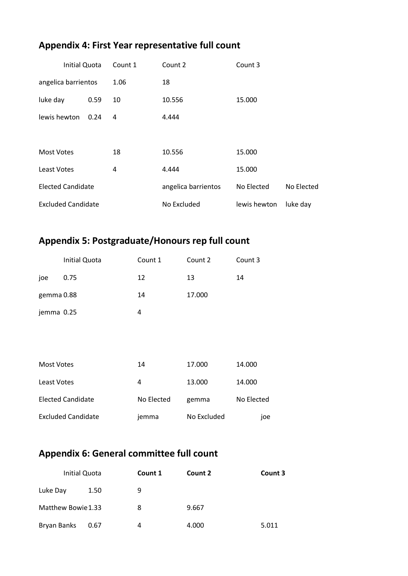# **Appendix 4: First Year representative full count**

| <b>Initial Quota</b>      |      | Count 1 | Count 2             | Count 3      |            |
|---------------------------|------|---------|---------------------|--------------|------------|
| angelica barrientos       |      | 1.06    | 18                  |              |            |
| luke day                  | 0.59 | 10      | 10.556              | 15.000       |            |
| lewis hewton              | 0.24 | 4       | 4.444               |              |            |
|                           |      |         |                     |              |            |
| <b>Most Votes</b>         |      | 18      | 10.556              | 15.000       |            |
| <b>Least Votes</b>        |      | 4       | 4.444               | 15.000       |            |
| <b>Elected Candidate</b>  |      |         | angelica barrientos | No Elected   | No Elected |
| <b>Excluded Candidate</b> |      |         | No Excluded         | lewis hewton | luke day   |

# **Appendix 5: Postgraduate/Honours rep full count**

|            | <b>Initial Quota</b> | Count 1 | Count 2 | Count 3 |
|------------|----------------------|---------|---------|---------|
| joe        | 0.75                 | 12      | 13      | 14      |
| gemma 0.88 |                      | 14      | 17.000  |         |
| jemma 0.25 |                      | 4       |         |         |
|            |                      |         |         |         |

| Most Votes                | 14         | 17.000      | 14.000     |
|---------------------------|------------|-------------|------------|
| <b>Least Votes</b>        | 4          | 13.000      | 14.000     |
| Elected Candidate         | No Elected | gemma       | No Elected |
| <b>Excluded Candidate</b> | jemma      | No Excluded | ioe        |

# **Appendix 6: General committee full count**

| <b>Initial Quota</b> |      | Count 1 | Count 2 | Count 3 |
|----------------------|------|---------|---------|---------|
| Luke Day             | 1.50 | 9       |         |         |
| Matthew Bowie 1.33   |      | 8       | 9.667   |         |
| Bryan Banks          | 0.67 | 4       | 4.000   | 5.011   |